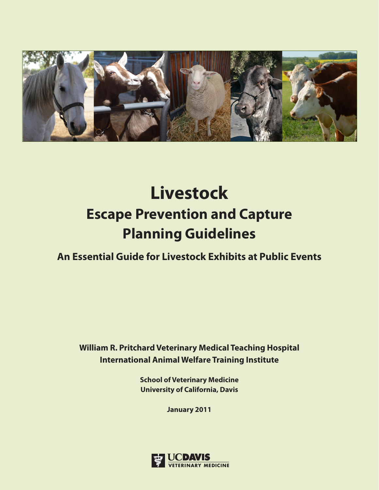

# **Livestock Escape Prevention and Capture Planning Guidelines**

**An Essential Guide for Livestock Exhibits at Public Events**

**William R. Pritchard Veterinary Medical Teaching Hospital International Animal Welfare Training Institute**

> **School of Veterinary Medicine University of California, Davis**

> > **January 2011**

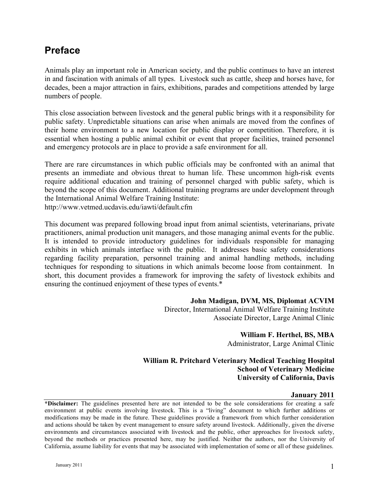### **Preface**

Animals play an important role in American society, and the public continues to have an interest in and fascination with animals of all types. Livestock such as cattle, sheep and horses have, for decades, been a major attraction in fairs, exhibitions, parades and competitions attended by large numbers of people.

This close association between livestock and the general public brings with it a responsibility for public safety. Unpredictable situations can arise when animals are moved from the confines of their home environment to a new location for public display or competition. Therefore, it is essential when hosting a public animal exhibit or event that proper facilities, trained personnel and emergency protocols are in place to provide a safe environment for all.

There are rare circumstances in which public officials may be confronted with an animal that presents an immediate and obvious threat to human life. These uncommon high-risk events require additional education and training of personnel charged with public safety, which is beyond the scope of this document. Additional training programs are under development through the International Animal Welfare Training Institute: http://www.vetmed.ucdavis.edu/iawti/default.cfm

This document was prepared following broad input from animal scientists, veterinarians, private practitioners, animal production unit managers, and those managing animal events for the public. It is intended to provide introductory guidelines for individuals responsible for managing exhibits in which animals interface with the public. It addresses basic safety considerations regarding facility preparation, personnel training and animal handling methods, including techniques for responding to situations in which animals become loose from containment. In short, this document provides a framework for improving the safety of livestock exhibits and ensuring the continued enjoyment of these types of events.\*

### **John Madigan, DVM, MS, Diplomat ACVIM**

Director, International Animal Welfare Training Institute Associate Director, Large Animal Clinic

**William F. Herthel, BS, MBA**

Administrator, Large Animal Clinic

### **William R. Pritchard Veterinary Medical Teaching Hospital School of Veterinary Medicine University of California, Davis**

#### **January 2011**

**\*Disclaimer:** The guidelines presented here are not intended to be the sole considerations for creating a safe environment at public events involving livestock. This is a "living" document to which further additions or modifications may be made in the future. These guidelines provide a framework from which further consideration and actions should be taken by event management to ensure safety around livestock. Additionally, given the diverse environments and circumstances associated with livestock and the public, other approaches for livestock safety, beyond the methods or practices presented here, may be justified. Neither the authors, nor the University of California, assume liability for events that may be associated with implementation of some or all of these guidelines.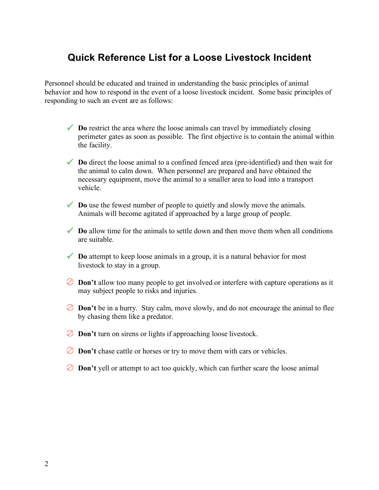### **Quick Reference List for a Loose Livestock Incident**

Personnel should be educated and trained in understanding the basic principles of animal behavior and how to respond in the event of a loose livestock incident. Some basic principles of responding to such an event are as follows:

- ◆ **Do** restrict the area where the loose animals can travel by immediately closing perimeter gates as soon as possible. The first objective is to contain the animal within the facility.
- ◆ **Do** direct the loose animal to a confined fenced area (pre-identified) and then wait for the animal to calm down. When personnel are prepared and have obtained the necessary equipment, move the animal to a smaller area to load into a transport vehicle.
- ◆ **Do** use the fewest number of people to quietly and slowly move the animals. Animals will become agitated if approached by a large group of people.
- **Do** allow time for the animals to settle down and then move them when all conditions are suitable.
- ◆ **Do** attempt to keep loose animals in a group, it is a natural behavior for most livestock to stay in a group.
- **⊘ Don't** allow too many people to get involved or interfere with capture operations as it may subject people to risks and injuries.
- $\circledcirc$  **Don't** be in a hurry. Stay calm, move slowly, and do not encourage the animal to flee by chasing them like a predator.
- **⊘ Don't** turn on sirens or lights if approaching loose livestock.
- **⊘ Don't** chase cattle or horses or try to move them with cars or vehicles.
- **⊘ Don't** yell or attempt to act too quickly, which can further scare the loose animal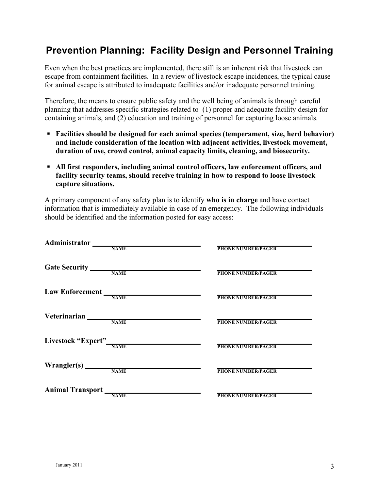# **Prevention Planning: Facility Design and Personnel Training**

Even when the best practices are implemented, there still is an inherent risk that livestock can escape from containment facilities. In a review of livestock escape incidences, the typical cause for animal escape is attributed to inadequate facilities and/or inadequate personnel training.

Therefore, the means to ensure public safety and the well being of animals is through careful planning that addresses specific strategies related to (1) proper and adequate facility design for containing animals, and (2) education and training of personnel for capturing loose animals.

- **Facilities should be designed for each animal species (temperament, size, herd behavior) and include consideration of the location with adjacent activities, livestock movement, duration of use, crowd control, animal capacity limits, cleaning, and biosecurity.**
- **All first responders, including animal control officers, law enforcement officers, and facility security teams, should receive training in how to respond to loose livestock capture situations.**

A primary component of any safety plan is to identify **who is in charge** and have contact information that is immediately available in case of an emergency. The following individuals should be identified and the information posted for easy access:

| Administrator           |                                                            |                           |
|-------------------------|------------------------------------------------------------|---------------------------|
|                         | <b>NAME</b>                                                | <b>PHONE NUMBER/PAGER</b> |
|                         |                                                            |                           |
|                         | Gate Security NAME                                         |                           |
|                         |                                                            | <b>PHONE NUMBER/PAGER</b> |
|                         |                                                            |                           |
|                         |                                                            | <b>PHONE NUMBER/PAGER</b> |
|                         |                                                            |                           |
| Veterinarian            |                                                            |                           |
|                         | <b>NAME</b>                                                | <b>PHONE NUMBER/PAGER</b> |
|                         |                                                            |                           |
| Livestock "Expert" NAME |                                                            |                           |
|                         |                                                            | <b>PHONE NUMBER/PAGER</b> |
|                         |                                                            |                           |
|                         | $\text{Wrange}(s)$ $\frac{N_{\text{AME}}}{N_{\text{AME}}}$ |                           |
|                         |                                                            | <b>PHONE NUMBER/PAGER</b> |
|                         |                                                            |                           |
| Animal Transport        | <b>NAME</b>                                                | <b>PHONE NUMBER/PAGER</b> |
|                         |                                                            |                           |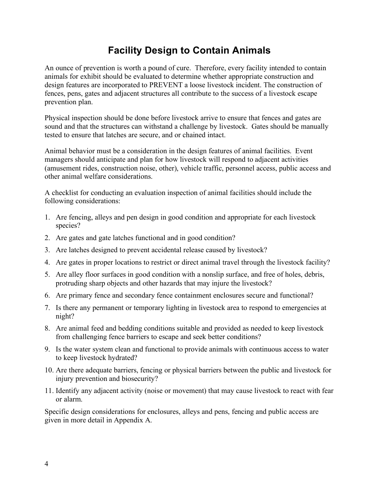# **Facility Design to Contain Animals**

An ounce of prevention is worth a pound of cure. Therefore, every facility intended to contain animals for exhibit should be evaluated to determine whether appropriate construction and design features are incorporated to PREVENT a loose livestock incident. The construction of fences, pens, gates and adjacent structures all contribute to the success of a livestock escape prevention plan.

Physical inspection should be done before livestock arrive to ensure that fences and gates are sound and that the structures can withstand a challenge by livestock. Gates should be manually tested to ensure that latches are secure, and or chained intact.

Animal behavior must be a consideration in the design features of animal facilities. Event managers should anticipate and plan for how livestock will respond to adjacent activities (amusement rides, construction noise, other), vehicle traffic, personnel access, public access and other animal welfare considerations.

A checklist for conducting an evaluation inspection of animal facilities should include the following considerations:

- 1. Are fencing, alleys and pen design in good condition and appropriate for each livestock species?
- 2. Are gates and gate latches functional and in good condition?
- 3. Are latches designed to prevent accidental release caused by livestock?
- 4. Are gates in proper locations to restrict or direct animal travel through the livestock facility?
- 5. Are alley floor surfaces in good condition with a nonslip surface, and free of holes, debris, protruding sharp objects and other hazards that may injure the livestock?
- 6. Are primary fence and secondary fence containment enclosures secure and functional?
- 7. Is there any permanent or temporary lighting in livestock area to respond to emergencies at night?
- 8. Are animal feed and bedding conditions suitable and provided as needed to keep livestock from challenging fence barriers to escape and seek better conditions?
- 9. Is the water system clean and functional to provide animals with continuous access to water to keep livestock hydrated?
- 10. Are there adequate barriers, fencing or physical barriers between the public and livestock for injury prevention and biosecurity?
- 11. Identify any adjacent activity (noise or movement) that may cause livestock to react with fear or alarm.

Specific design considerations for enclosures, alleys and pens, fencing and public access are given in more detail in Appendix A.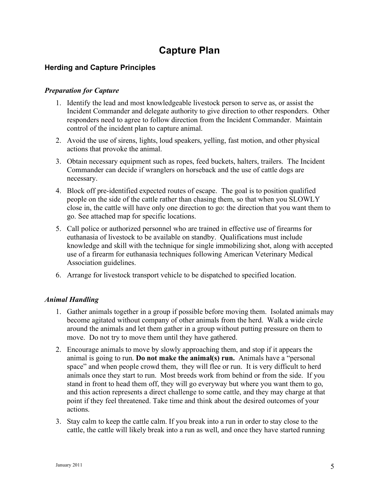### **Capture Plan**

### **Herding and Capture Principles**

### *Preparation for Capture*

- 1. Identify the lead and most knowledgeable livestock person to serve as, or assist the Incident Commander and delegate authority to give direction to other responders. Other responders need to agree to follow direction from the Incident Commander. Maintain control of the incident plan to capture animal.
- 2. Avoid the use of sirens, lights, loud speakers, yelling, fast motion, and other physical actions that provoke the animal.
- 3. Obtain necessary equipment such as ropes, feed buckets, halters, trailers. The Incident Commander can decide if wranglers on horseback and the use of cattle dogs are necessary.
- 4. Block off pre-identified expected routes of escape. The goal is to position qualified people on the side of the cattle rather than chasing them, so that when you SLOWLY close in, the cattle will have only one direction to go: the direction that you want them to go. See attached map for specific locations.
- 5. Call police or authorized personnel who are trained in effective use of firearms for euthanasia of livestock to be available on standby. Qualifications must include knowledge and skill with the technique for single immobilizing shot, along with accepted use of a firearm for euthanasia techniques following American Veterinary Medical Association guidelines.
- 6. Arrange for livestock transport vehicle to be dispatched to specified location.

### *Animal Handling*

- 1. Gather animals together in a group if possible before moving them. Isolated animals may become agitated without company of other animals from the herd. Walk a wide circle around the animals and let them gather in a group without putting pressure on them to move. Do not try to move them until they have gathered.
- 2. Encourage animals to move by slowly approaching them, and stop if it appears the animal is going to run. **Do not make the animal(s) run.** Animals have a "personal space" and when people crowd them, they will flee or run. It is very difficult to herd animals once they start to run. Most breeds work from behind or from the side. If you stand in front to head them off, they will go everyway but where you want them to go, and this action represents a direct challenge to some cattle, and they may charge at that point if they feel threatened. Take time and think about the desired outcomes of your actions.
- 3. Stay calm to keep the cattle calm. If you break into a run in order to stay close to the cattle, the cattle will likely break into a run as well, and once they have started running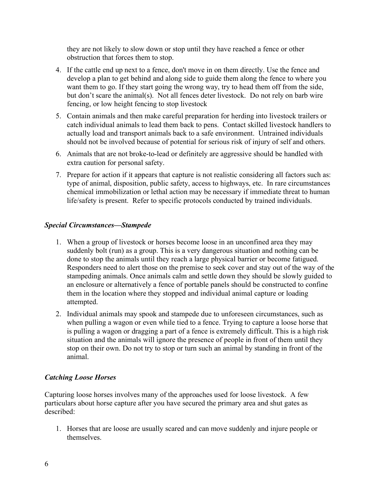they are not likely to slow down or stop until they have reached a fence or other obstruction that forces them to stop.

- 4. If the cattle end up next to a fence, don't move in on them directly. Use the fence and develop a plan to get behind and along side to guide them along the fence to where you want them to go. If they start going the wrong way, try to head them off from the side, but don't scare the animal(s). Not all fences deter livestock. Do not rely on barb wire fencing, or low height fencing to stop livestock
- 5. Contain animals and then make careful preparation for herding into livestock trailers or catch individual animals to lead them back to pens. Contact skilled livestock handlers to actually load and transport animals back to a safe environment. Untrained individuals should not be involved because of potential for serious risk of injury of self and others.
- 6. Animals that are not broke-to-lead or definitely are aggressive should be handled with extra caution for personal safety.
- 7. Prepare for action if it appears that capture is not realistic considering all factors such as: type of animal, disposition, public safety, access to highways, etc. In rare circumstances chemical immobilization or lethal action may be necessary if immediate threat to human life/safety is present. Refer to specific protocols conducted by trained individuals.

### *Special Circumstances—Stampede*

- 1. When a group of livestock or horses become loose in an unconfined area they may suddenly bolt (run) as a group. This is a very dangerous situation and nothing can be done to stop the animals until they reach a large physical barrier or become fatigued. Responders need to alert those on the premise to seek cover and stay out of the way of the stampeding animals. Once animals calm and settle down they should be slowly guided to an enclosure or alternatively a fence of portable panels should be constructed to confine them in the location where they stopped and individual animal capture or loading attempted.
- 2. Individual animals may spook and stampede due to unforeseen circumstances, such as when pulling a wagon or even while tied to a fence. Trying to capture a loose horse that is pulling a wagon or dragging a part of a fence is extremely difficult. This is a high risk situation and the animals will ignore the presence of people in front of them until they stop on their own. Do not try to stop or turn such an animal by standing in front of the animal.

### *Catching Loose Horses*

Capturing loose horses involves many of the approaches used for loose livestock. A few particulars about horse capture after you have secured the primary area and shut gates as described:

1. Horses that are loose are usually scared and can move suddenly and injure people or themselves.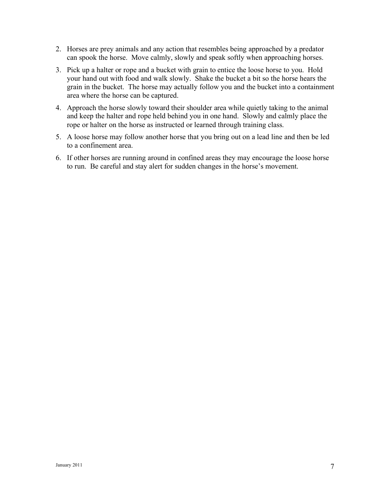- 2. Horses are prey animals and any action that resembles being approached by a predator can spook the horse. Move calmly, slowly and speak softly when approaching horses.
- 3. Pick up a halter or rope and a bucket with grain to entice the loose horse to you. Hold your hand out with food and walk slowly. Shake the bucket a bit so the horse hears the grain in the bucket. The horse may actually follow you and the bucket into a containment area where the horse can be captured.
- 4. Approach the horse slowly toward their shoulder area while quietly taking to the animal and keep the halter and rope held behind you in one hand. Slowly and calmly place the rope or halter on the horse as instructed or learned through training class.
- 5. A loose horse may follow another horse that you bring out on a lead line and then be led to a confinement area.
- 6. If other horses are running around in confined areas they may encourage the loose horse to run. Be careful and stay alert for sudden changes in the horse's movement.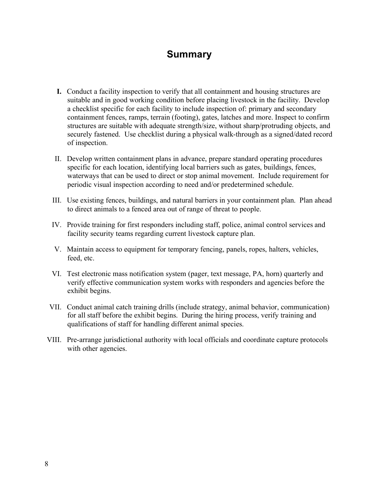### **Summary**

- **I.** Conduct a facility inspection to verify that all containment and housing structures are suitable and in good working condition before placing livestock in the facility. Develop a checklist specific for each facility to include inspection of: primary and secondary containment fences, ramps, terrain (footing), gates, latches and more. Inspect to confirm structures are suitable with adequate strength/size, without sharp/protruding objects, and securely fastened. Use checklist during a physical walk-through as a signed/dated record of inspection.
- II. Develop written containment plans in advance, prepare standard operating procedures specific for each location, identifying local barriers such as gates, buildings, fences, waterways that can be used to direct or stop animal movement. Include requirement for periodic visual inspection according to need and/or predetermined schedule.
- III. Use existing fences, buildings, and natural barriers in your containment plan. Plan ahead to direct animals to a fenced area out of range of threat to people.
- IV. Provide training for first responders including staff, police, animal control services and facility security teams regarding current livestock capture plan.
- V. Maintain access to equipment for temporary fencing, panels, ropes, halters, vehicles, feed, etc.
- VI. Test electronic mass notification system (pager, text message, PA, horn) quarterly and verify effective communication system works with responders and agencies before the exhibit begins.
- VII. Conduct animal catch training drills (include strategy, animal behavior, communication) for all staff before the exhibit begins. During the hiring process, verify training and qualifications of staff for handling different animal species.
- VIII. Pre-arrange jurisdictional authority with local officials and coordinate capture protocols with other agencies.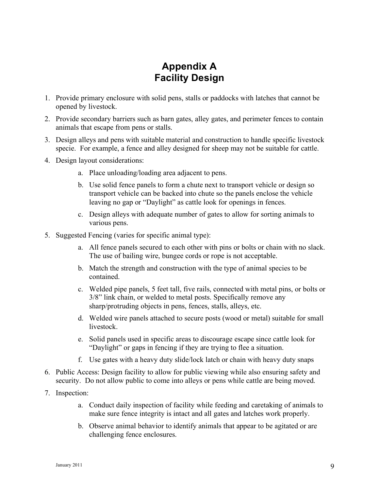# **Appendix A Facility Design**

- 1. Provide primary enclosure with solid pens, stalls or paddocks with latches that cannot be opened by livestock.
- 2. Provide secondary barriers such as barn gates, alley gates, and perimeter fences to contain animals that escape from pens or stalls.
- 3. Design alleys and pens with suitable material and construction to handle specific livestock specie. For example, a fence and alley designed for sheep may not be suitable for cattle.
- 4. Design layout considerations:
	- a. Place unloading/loading area adjacent to pens.
	- b. Use solid fence panels to form a chute next to transport vehicle or design so transport vehicle can be backed into chute so the panels enclose the vehicle leaving no gap or "Daylight" as cattle look for openings in fences.
	- c. Design alleys with adequate number of gates to allow for sorting animals to various pens.
- 5. Suggested Fencing (varies for specific animal type):
	- a. All fence panels secured to each other with pins or bolts or chain with no slack. The use of bailing wire, bungee cords or rope is not acceptable.
	- b. Match the strength and construction with the type of animal species to be contained.
	- c. Welded pipe panels, 5 feet tall, five rails, connected with metal pins, or bolts or 3/8" link chain, or welded to metal posts. Specifically remove any sharp/protruding objects in pens, fences, stalls, alleys, etc.
	- d. Welded wire panels attached to secure posts (wood or metal) suitable for small livestock.
	- e. Solid panels used in specific areas to discourage escape since cattle look for "Daylight" or gaps in fencing if they are trying to flee a situation.
	- f. Use gates with a heavy duty slide/lock latch or chain with heavy duty snaps
- 6. Public Access: Design facility to allow for public viewing while also ensuring safety and security. Do not allow public to come into alleys or pens while cattle are being moved.
- 7. Inspection:
	- a. Conduct daily inspection of facility while feeding and caretaking of animals to make sure fence integrity is intact and all gates and latches work properly.
	- b. Observe animal behavior to identify animals that appear to be agitated or are challenging fence enclosures.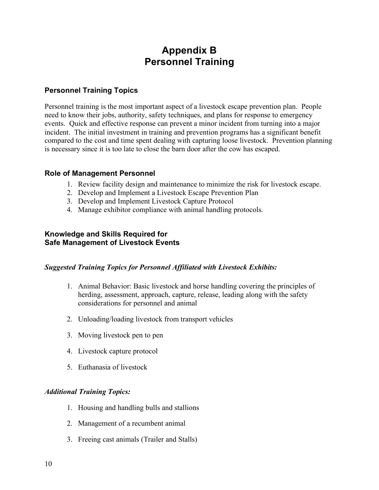### **Appendix B Personnel Training**

### **Personnel Training Topics**

Personnel training is the most important aspect of a livestock escape prevention plan. People need to know their jobs, authority, safety techniques, and plans for response to emergency events. Quick and effective response can prevent a minor incident from turning into a major incident. The initial investment in training and prevention programs has a significant benefit compared to the cost and time spent dealing with capturing loose livestock. Prevention planning is necessary since it is too late to close the barn door after the cow has escaped.

### **Role of Management Personnel**

- 1. Review facility design and maintenance to minimize the risk for livestock escape.
- 2. Develop and Implement a Livestock Escape Prevention Plan
- 3. Develop and Implement Livestock Capture Protocol
- 4. Manage exhibitor compliance with animal handling protocols.

#### **Knowledge and Skills Required for Safe Management of Livestock Events**

#### *Suggested Training Topics for Personnel Affiliated with Livestock Exhibits:*

- 1. Animal Behavior: Basic livestock and horse handling covering the principles of herding, assessment, approach, capture, release, leading along with the safety considerations for personnel and animal
- 2. Unloading/loading livestock from transport vehicles
- 3. Moving livestock pen to pen
- 4. Livestock capture protocol
- 5. Euthanasia of livestock

### *Additional Training Topics:*

- 1. Housing and handling bulls and stallions
- 2. Management of a recumbent animal
- 3. Freeing cast animals (Trailer and Stalls)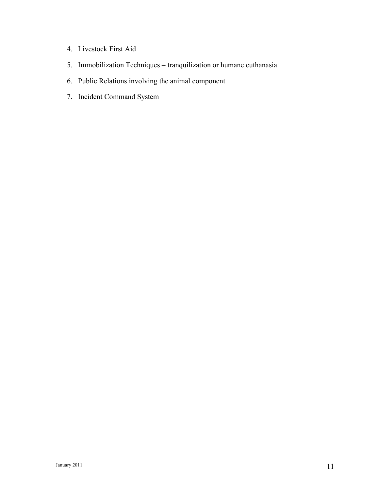- 4. Livestock First Aid
- 5. Immobilization Techniques tranquilization or humane euthanasia
- 6. Public Relations involving the animal component
- 7. Incident Command System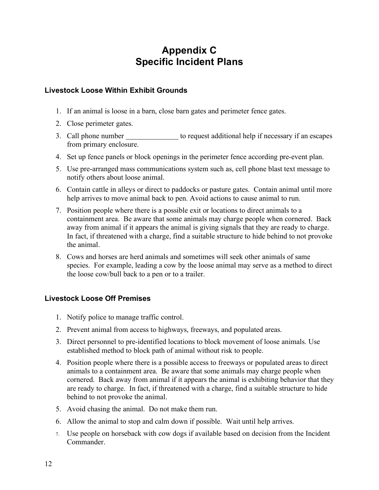# **Appendix C Specific Incident Plans**

### **Livestock Loose Within Exhibit Grounds**

- 1. If an animal is loose in a barn, close barn gates and perimeter fence gates.
- 2. Close perimeter gates.
- 3. Call phone number to request additional help if necessary if an escapes from primary enclosure.
- 4. Set up fence panels or block openings in the perimeter fence according pre-event plan.
- 5. Use pre-arranged mass communications system such as, cell phone blast text message to notify others about loose animal.
- 6. Contain cattle in alleys or direct to paddocks or pasture gates. Contain animal until more help arrives to move animal back to pen. Avoid actions to cause animal to run.
- 7. Position people where there is a possible exit or locations to direct animals to a containment area. Be aware that some animals may charge people when cornered. Back away from animal if it appears the animal is giving signals that they are ready to charge. In fact, if threatened with a charge, find a suitable structure to hide behind to not provoke the animal.
- 8. Cows and horses are herd animals and sometimes will seek other animals of same species. For example, leading a cow by the loose animal may serve as a method to direct the loose cow/bull back to a pen or to a trailer.

### **Livestock Loose Off Premises**

- 1. Notify police to manage traffic control.
- 2. Prevent animal from access to highways, freeways, and populated areas.
- 3. Direct personnel to pre-identified locations to block movement of loose animals. Use established method to block path of animal without risk to people.
- 4. Position people where there is a possible access to freeways or populated areas to direct animals to a containment area. Be aware that some animals may charge people when cornered. Back away from animal if it appears the animal is exhibiting behavior that they are ready to charge. In fact, if threatened with a charge, find a suitable structure to hide behind to not provoke the animal.
- 5. Avoid chasing the animal. Do not make them run.
- 6. Allow the animal to stop and calm down if possible. Wait until help arrives.
- 7. Use people on horseback with cow dogs if available based on decision from the Incident **Commander**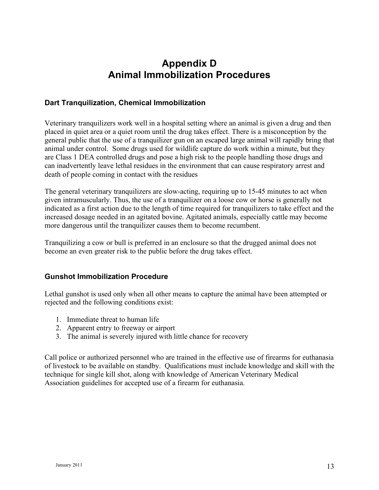# **Appendix D Animal Immobilization Procedures**

### **Dart Tranquilization, Chemical Immobilization**

Veterinary tranquilizers work well in a hospital setting where an animal is given a drug and then placed in quiet area or a quiet room until the drug takes effect. There is a misconception by the general public that the use of a tranquilizer gun on an escaped large animal will rapidly bring that animal under control. Some drugs used for wildlife capture do work within a minute, but they are Class 1 DEA controlled drugs and pose a high risk to the people handling those drugs and can inadvertently leave lethal residues in the environment that can cause respiratory arrest and death of people coming in contact with the residues

The general veterinary tranquilizers are slow-acting, requiring up to 15-45 minutes to act when given intramuscularly. Thus, the use of a tranquilizer on a loose cow or horse is generally not indicated as a first action due to the length of time required for tranquilizers to take effect and the increased dosage needed in an agitated bovine. Agitated animals, especially cattle may become more dangerous until the tranquilizer causes them to become recumbent.

Tranquilizing a cow or bull is preferred in an enclosure so that the drugged animal does not become an even greater risk to the public before the drug takes effect.

### **Gunshot Immobilization Procedure**

Lethal gunshot is used only when all other means to capture the animal have been attempted or rejected and the following conditions exist:

- 1. Immediate threat to human life
- 2. Apparent entry to freeway or airport
- 3. The animal is severely injured with little chance for recovery

Call police or authorized personnel who are trained in the effective use of firearms for euthanasia of livestock to be available on standby. Qualifications must include knowledge and skill with the technique for single kill shot, along with knowledge of American Veterinary Medical Association guidelines for accepted use of a firearm for euthanasia.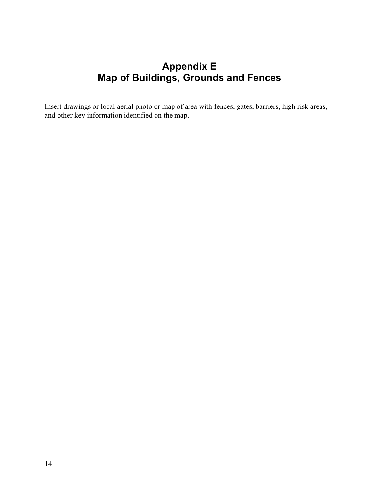# **Appendix E Map of Buildings, Grounds and Fences**

Insert drawings or local aerial photo or map of area with fences, gates, barriers, high risk areas, and other key information identified on the map.